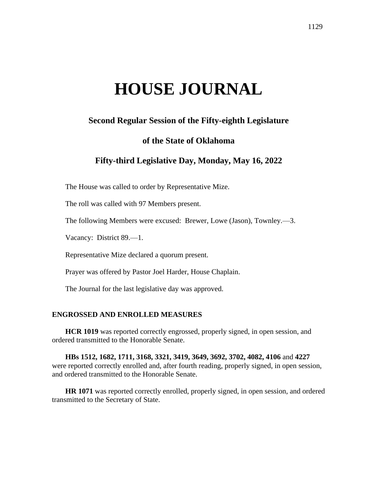# **HOUSE JOURNAL**

# **Second Regular Session of the Fifty-eighth Legislature**

# **of the State of Oklahoma**

# **Fifty-third Legislative Day, Monday, May 16, 2022**

The House was called to order by Representative Mize.

The roll was called with 97 Members present.

The following Members were excused: Brewer, Lowe (Jason), Townley.—3.

Vacancy: District 89.—1.

Representative Mize declared a quorum present.

Prayer was offered by Pastor Joel Harder, House Chaplain.

The Journal for the last legislative day was approved.

## **ENGROSSED AND ENROLLED MEASURES**

**HCR 1019** was reported correctly engrossed, properly signed, in open session, and ordered transmitted to the Honorable Senate.

**HBs 1512, 1682, 1711, 3168, 3321, 3419, 3649, 3692, 3702, 4082, 4106** and **4227** were reported correctly enrolled and, after fourth reading, properly signed, in open session, and ordered transmitted to the Honorable Senate.

**HR 1071** was reported correctly enrolled, properly signed, in open session, and ordered transmitted to the Secretary of State.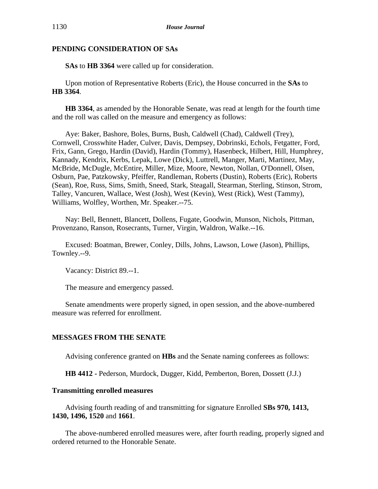**SAs** to **HB 3364** were called up for consideration.

Upon motion of Representative Roberts (Eric), the House concurred in the **SAs** to **HB 3364**.

**HB 3364**, as amended by the Honorable Senate, was read at length for the fourth time and the roll was called on the measure and emergency as follows:

Aye: Baker, Bashore, Boles, Burns, Bush, Caldwell (Chad), Caldwell (Trey), Cornwell, Crosswhite Hader, Culver, Davis, Dempsey, Dobrinski, Echols, Fetgatter, Ford, Frix, Gann, Grego, Hardin (David), Hardin (Tommy), Hasenbeck, Hilbert, Hill, Humphrey, Kannady, Kendrix, Kerbs, Lepak, Lowe (Dick), Luttrell, Manger, Marti, Martinez, May, McBride, McDugle, McEntire, Miller, Mize, Moore, Newton, Nollan, O'Donnell, Olsen, Osburn, Pae, Patzkowsky, Pfeiffer, Randleman, Roberts (Dustin), Roberts (Eric), Roberts (Sean), Roe, Russ, Sims, Smith, Sneed, Stark, Steagall, Stearman, Sterling, Stinson, Strom, Talley, Vancuren, Wallace, West (Josh), West (Kevin), West (Rick), West (Tammy), Williams, Wolfley, Worthen, Mr. Speaker.--75.

Nay: Bell, Bennett, Blancett, Dollens, Fugate, Goodwin, Munson, Nichols, Pittman, Provenzano, Ranson, Rosecrants, Turner, Virgin, Waldron, Walke.--16.

Excused: Boatman, Brewer, Conley, Dills, Johns, Lawson, Lowe (Jason), Phillips, Townley.--9.

Vacancy: District 89.--1.

The measure and emergency passed.

Senate amendments were properly signed, in open session, and the above-numbered measure was referred for enrollment.

# **MESSAGES FROM THE SENATE**

Advising conference granted on **HBs** and the Senate naming conferees as follows:

**HB 4412 -** Pederson, Murdock, Dugger, Kidd, Pemberton, Boren, Dossett (J.J.)

# **Transmitting enrolled measures**

Advising fourth reading of and transmitting for signature Enrolled **SBs 970, 1413, 1430, 1496, 1520** and **1661**.

The above-numbered enrolled measures were, after fourth reading, properly signed and ordered returned to the Honorable Senate.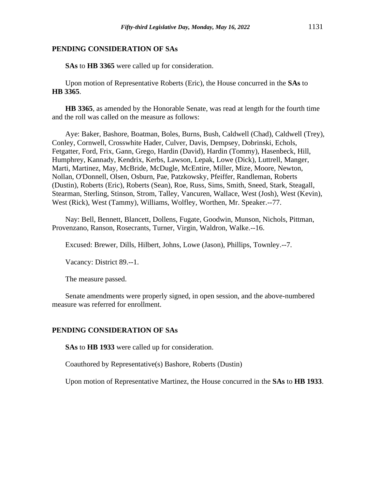**SAs** to **HB 3365** were called up for consideration.

Upon motion of Representative Roberts (Eric), the House concurred in the **SAs** to **HB 3365**.

**HB 3365**, as amended by the Honorable Senate, was read at length for the fourth time and the roll was called on the measure as follows:

Aye: Baker, Bashore, Boatman, Boles, Burns, Bush, Caldwell (Chad), Caldwell (Trey), Conley, Cornwell, Crosswhite Hader, Culver, Davis, Dempsey, Dobrinski, Echols, Fetgatter, Ford, Frix, Gann, Grego, Hardin (David), Hardin (Tommy), Hasenbeck, Hill, Humphrey, Kannady, Kendrix, Kerbs, Lawson, Lepak, Lowe (Dick), Luttrell, Manger, Marti, Martinez, May, McBride, McDugle, McEntire, Miller, Mize, Moore, Newton, Nollan, O'Donnell, Olsen, Osburn, Pae, Patzkowsky, Pfeiffer, Randleman, Roberts (Dustin), Roberts (Eric), Roberts (Sean), Roe, Russ, Sims, Smith, Sneed, Stark, Steagall, Stearman, Sterling, Stinson, Strom, Talley, Vancuren, Wallace, West (Josh), West (Kevin), West (Rick), West (Tammy), Williams, Wolfley, Worthen, Mr. Speaker.--77.

Nay: Bell, Bennett, Blancett, Dollens, Fugate, Goodwin, Munson, Nichols, Pittman, Provenzano, Ranson, Rosecrants, Turner, Virgin, Waldron, Walke.--16.

Excused: Brewer, Dills, Hilbert, Johns, Lowe (Jason), Phillips, Townley.--7.

Vacancy: District 89.--1.

The measure passed.

Senate amendments were properly signed, in open session, and the above-numbered measure was referred for enrollment.

# **PENDING CONSIDERATION OF SAs**

**SAs** to **HB 1933** were called up for consideration.

Coauthored by Representative(s) Bashore, Roberts (Dustin)

Upon motion of Representative Martinez, the House concurred in the **SAs** to **HB 1933**.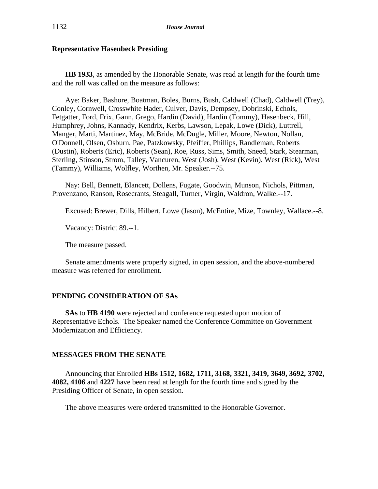## **Representative Hasenbeck Presiding**

**HB 1933**, as amended by the Honorable Senate, was read at length for the fourth time and the roll was called on the measure as follows:

Aye: Baker, Bashore, Boatman, Boles, Burns, Bush, Caldwell (Chad), Caldwell (Trey), Conley, Cornwell, Crosswhite Hader, Culver, Davis, Dempsey, Dobrinski, Echols, Fetgatter, Ford, Frix, Gann, Grego, Hardin (David), Hardin (Tommy), Hasenbeck, Hill, Humphrey, Johns, Kannady, Kendrix, Kerbs, Lawson, Lepak, Lowe (Dick), Luttrell, Manger, Marti, Martinez, May, McBride, McDugle, Miller, Moore, Newton, Nollan, O'Donnell, Olsen, Osburn, Pae, Patzkowsky, Pfeiffer, Phillips, Randleman, Roberts (Dustin), Roberts (Eric), Roberts (Sean), Roe, Russ, Sims, Smith, Sneed, Stark, Stearman, Sterling, Stinson, Strom, Talley, Vancuren, West (Josh), West (Kevin), West (Rick), West (Tammy), Williams, Wolfley, Worthen, Mr. Speaker.--75.

Nay: Bell, Bennett, Blancett, Dollens, Fugate, Goodwin, Munson, Nichols, Pittman, Provenzano, Ranson, Rosecrants, Steagall, Turner, Virgin, Waldron, Walke.--17.

Excused: Brewer, Dills, Hilbert, Lowe (Jason), McEntire, Mize, Townley, Wallace.--8.

Vacancy: District 89.--1.

The measure passed.

Senate amendments were properly signed, in open session, and the above-numbered measure was referred for enrollment.

# **PENDING CONSIDERATION OF SAs**

**SAs** to **HB 4190** were rejected and conference requested upon motion of Representative Echols. The Speaker named the Conference Committee on Government Modernization and Efficiency.

# **MESSAGES FROM THE SENATE**

Announcing that Enrolled **HBs 1512, 1682, 1711, 3168, 3321, 3419, 3649, 3692, 3702, 4082, 4106** and **4227** have been read at length for the fourth time and signed by the Presiding Officer of Senate, in open session.

The above measures were ordered transmitted to the Honorable Governor.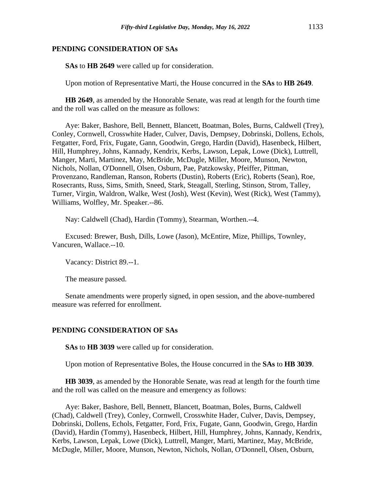**SAs** to **HB 2649** were called up for consideration.

Upon motion of Representative Marti, the House concurred in the **SAs** to **HB 2649**.

**HB 2649**, as amended by the Honorable Senate, was read at length for the fourth time and the roll was called on the measure as follows:

Aye: Baker, Bashore, Bell, Bennett, Blancett, Boatman, Boles, Burns, Caldwell (Trey), Conley, Cornwell, Crosswhite Hader, Culver, Davis, Dempsey, Dobrinski, Dollens, Echols, Fetgatter, Ford, Frix, Fugate, Gann, Goodwin, Grego, Hardin (David), Hasenbeck, Hilbert, Hill, Humphrey, Johns, Kannady, Kendrix, Kerbs, Lawson, Lepak, Lowe (Dick), Luttrell, Manger, Marti, Martinez, May, McBride, McDugle, Miller, Moore, Munson, Newton, Nichols, Nollan, O'Donnell, Olsen, Osburn, Pae, Patzkowsky, Pfeiffer, Pittman, Provenzano, Randleman, Ranson, Roberts (Dustin), Roberts (Eric), Roberts (Sean), Roe, Rosecrants, Russ, Sims, Smith, Sneed, Stark, Steagall, Sterling, Stinson, Strom, Talley, Turner, Virgin, Waldron, Walke, West (Josh), West (Kevin), West (Rick), West (Tammy), Williams, Wolfley, Mr. Speaker.--86.

Nay: Caldwell (Chad), Hardin (Tommy), Stearman, Worthen.--4.

Excused: Brewer, Bush, Dills, Lowe (Jason), McEntire, Mize, Phillips, Townley, Vancuren, Wallace.--10.

Vacancy: District 89.--1.

The measure passed.

Senate amendments were properly signed, in open session, and the above-numbered measure was referred for enrollment.

## **PENDING CONSIDERATION OF SAs**

**SAs** to **HB 3039** were called up for consideration.

Upon motion of Representative Boles, the House concurred in the **SAs** to **HB 3039**.

**HB 3039**, as amended by the Honorable Senate, was read at length for the fourth time and the roll was called on the measure and emergency as follows:

Aye: Baker, Bashore, Bell, Bennett, Blancett, Boatman, Boles, Burns, Caldwell (Chad), Caldwell (Trey), Conley, Cornwell, Crosswhite Hader, Culver, Davis, Dempsey, Dobrinski, Dollens, Echols, Fetgatter, Ford, Frix, Fugate, Gann, Goodwin, Grego, Hardin (David), Hardin (Tommy), Hasenbeck, Hilbert, Hill, Humphrey, Johns, Kannady, Kendrix, Kerbs, Lawson, Lepak, Lowe (Dick), Luttrell, Manger, Marti, Martinez, May, McBride, McDugle, Miller, Moore, Munson, Newton, Nichols, Nollan, O'Donnell, Olsen, Osburn,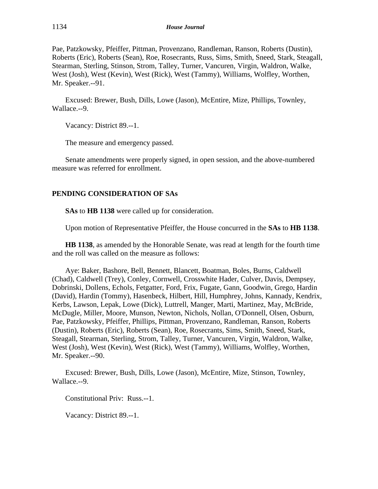Pae, Patzkowsky, Pfeiffer, Pittman, Provenzano, Randleman, Ranson, Roberts (Dustin), Roberts (Eric), Roberts (Sean), Roe, Rosecrants, Russ, Sims, Smith, Sneed, Stark, Steagall, Stearman, Sterling, Stinson, Strom, Talley, Turner, Vancuren, Virgin, Waldron, Walke, West (Josh), West (Kevin), West (Rick), West (Tammy), Williams, Wolfley, Worthen, Mr. Speaker.--91.

Excused: Brewer, Bush, Dills, Lowe (Jason), McEntire, Mize, Phillips, Townley, Wallace.--9.

Vacancy: District 89.--1.

The measure and emergency passed.

Senate amendments were properly signed, in open session, and the above-numbered measure was referred for enrollment.

# **PENDING CONSIDERATION OF SAs**

**SAs** to **HB 1138** were called up for consideration.

Upon motion of Representative Pfeiffer, the House concurred in the **SAs** to **HB 1138**.

**HB 1138**, as amended by the Honorable Senate, was read at length for the fourth time and the roll was called on the measure as follows:

Aye: Baker, Bashore, Bell, Bennett, Blancett, Boatman, Boles, Burns, Caldwell (Chad), Caldwell (Trey), Conley, Cornwell, Crosswhite Hader, Culver, Davis, Dempsey, Dobrinski, Dollens, Echols, Fetgatter, Ford, Frix, Fugate, Gann, Goodwin, Grego, Hardin (David), Hardin (Tommy), Hasenbeck, Hilbert, Hill, Humphrey, Johns, Kannady, Kendrix, Kerbs, Lawson, Lepak, Lowe (Dick), Luttrell, Manger, Marti, Martinez, May, McBride, McDugle, Miller, Moore, Munson, Newton, Nichols, Nollan, O'Donnell, Olsen, Osburn, Pae, Patzkowsky, Pfeiffer, Phillips, Pittman, Provenzano, Randleman, Ranson, Roberts (Dustin), Roberts (Eric), Roberts (Sean), Roe, Rosecrants, Sims, Smith, Sneed, Stark, Steagall, Stearman, Sterling, Strom, Talley, Turner, Vancuren, Virgin, Waldron, Walke, West (Josh), West (Kevin), West (Rick), West (Tammy), Williams, Wolfley, Worthen, Mr. Speaker.--90.

Excused: Brewer, Bush, Dills, Lowe (Jason), McEntire, Mize, Stinson, Townley, Wallace.--9.

Constitutional Priv: Russ.--1.

Vacancy: District 89.--1.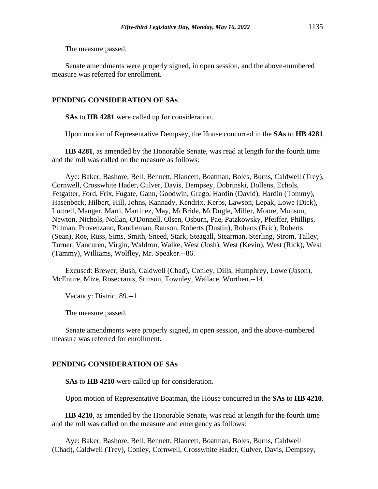The measure passed.

Senate amendments were properly signed, in open session, and the above-numbered measure was referred for enrollment.

## **PENDING CONSIDERATION OF SAs**

**SAs** to **HB 4281** were called up for consideration.

Upon motion of Representative Dempsey, the House concurred in the **SAs** to **HB 4281**.

**HB 4281**, as amended by the Honorable Senate, was read at length for the fourth time and the roll was called on the measure as follows:

Aye: Baker, Bashore, Bell, Bennett, Blancett, Boatman, Boles, Burns, Caldwell (Trey), Cornwell, Crosswhite Hader, Culver, Davis, Dempsey, Dobrinski, Dollens, Echols, Fetgatter, Ford, Frix, Fugate, Gann, Goodwin, Grego, Hardin (David), Hardin (Tommy), Hasenbeck, Hilbert, Hill, Johns, Kannady, Kendrix, Kerbs, Lawson, Lepak, Lowe (Dick), Luttrell, Manger, Marti, Martinez, May, McBride, McDugle, Miller, Moore, Munson, Newton, Nichols, Nollan, O'Donnell, Olsen, Osburn, Pae, Patzkowsky, Pfeiffer, Phillips, Pittman, Provenzano, Randleman, Ranson, Roberts (Dustin), Roberts (Eric), Roberts (Sean), Roe, Russ, Sims, Smith, Sneed, Stark, Steagall, Stearman, Sterling, Strom, Talley, Turner, Vancuren, Virgin, Waldron, Walke, West (Josh), West (Kevin), West (Rick), West (Tammy), Williams, Wolfley, Mr. Speaker.--86.

Excused: Brewer, Bush, Caldwell (Chad), Conley, Dills, Humphrey, Lowe (Jason), McEntire, Mize, Rosecrants, Stinson, Townley, Wallace, Worthen.--14.

Vacancy: District 89.--1.

The measure passed.

Senate amendments were properly signed, in open session, and the above-numbered measure was referred for enrollment.

#### **PENDING CONSIDERATION OF SAs**

**SAs** to **HB 4210** were called up for consideration.

Upon motion of Representative Boatman, the House concurred in the **SAs** to **HB 4210**.

**HB 4210**, as amended by the Honorable Senate, was read at length for the fourth time and the roll was called on the measure and emergency as follows:

Aye: Baker, Bashore, Bell, Bennett, Blancett, Boatman, Boles, Burns, Caldwell (Chad), Caldwell (Trey), Conley, Cornwell, Crosswhite Hader, Culver, Davis, Dempsey,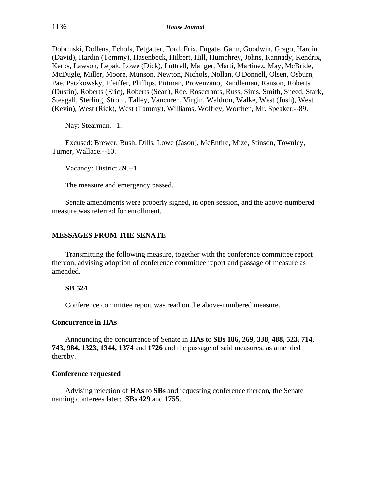Dobrinski, Dollens, Echols, Fetgatter, Ford, Frix, Fugate, Gann, Goodwin, Grego, Hardin (David), Hardin (Tommy), Hasenbeck, Hilbert, Hill, Humphrey, Johns, Kannady, Kendrix, Kerbs, Lawson, Lepak, Lowe (Dick), Luttrell, Manger, Marti, Martinez, May, McBride, McDugle, Miller, Moore, Munson, Newton, Nichols, Nollan, O'Donnell, Olsen, Osburn, Pae, Patzkowsky, Pfeiffer, Phillips, Pittman, Provenzano, Randleman, Ranson, Roberts (Dustin), Roberts (Eric), Roberts (Sean), Roe, Rosecrants, Russ, Sims, Smith, Sneed, Stark, Steagall, Sterling, Strom, Talley, Vancuren, Virgin, Waldron, Walke, West (Josh), West (Kevin), West (Rick), West (Tammy), Williams, Wolfley, Worthen, Mr. Speaker.--89.

Nay: Stearman.--1.

Excused: Brewer, Bush, Dills, Lowe (Jason), McEntire, Mize, Stinson, Townley, Turner, Wallace.--10.

Vacancy: District 89.--1.

The measure and emergency passed.

Senate amendments were properly signed, in open session, and the above-numbered measure was referred for enrollment.

# **MESSAGES FROM THE SENATE**

Transmitting the following measure, together with the conference committee report thereon, advising adoption of conference committee report and passage of measure as amended.

# **SB 524**

Conference committee report was read on the above-numbered measure.

# **Concurrence in HAs**

Announcing the concurrence of Senate in **HAs** to **SBs 186, 269, 338, 488, 523, 714, 743, 984, 1323, 1344, 1374** and **1726** and the passage of said measures, as amended thereby.

# **Conference requested**

Advising rejection of **HAs** to **SBs** and requesting conference thereon, the Senate naming conferees later: **SBs 429** and **1755**.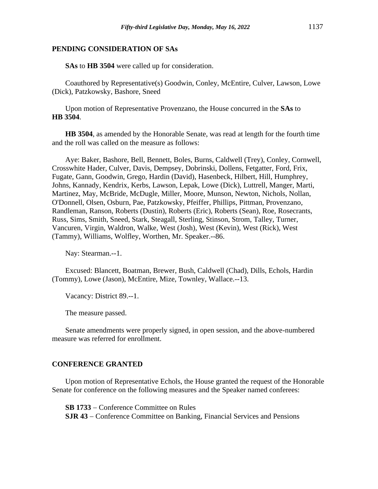**SAs** to **HB 3504** were called up for consideration.

Coauthored by Representative(s) Goodwin, Conley, McEntire, Culver, Lawson, Lowe (Dick), Patzkowsky, Bashore, Sneed

Upon motion of Representative Provenzano, the House concurred in the **SAs** to **HB 3504**.

**HB 3504**, as amended by the Honorable Senate, was read at length for the fourth time and the roll was called on the measure as follows:

Aye: Baker, Bashore, Bell, Bennett, Boles, Burns, Caldwell (Trey), Conley, Cornwell, Crosswhite Hader, Culver, Davis, Dempsey, Dobrinski, Dollens, Fetgatter, Ford, Frix, Fugate, Gann, Goodwin, Grego, Hardin (David), Hasenbeck, Hilbert, Hill, Humphrey, Johns, Kannady, Kendrix, Kerbs, Lawson, Lepak, Lowe (Dick), Luttrell, Manger, Marti, Martinez, May, McBride, McDugle, Miller, Moore, Munson, Newton, Nichols, Nollan, O'Donnell, Olsen, Osburn, Pae, Patzkowsky, Pfeiffer, Phillips, Pittman, Provenzano, Randleman, Ranson, Roberts (Dustin), Roberts (Eric), Roberts (Sean), Roe, Rosecrants, Russ, Sims, Smith, Sneed, Stark, Steagall, Sterling, Stinson, Strom, Talley, Turner, Vancuren, Virgin, Waldron, Walke, West (Josh), West (Kevin), West (Rick), West (Tammy), Williams, Wolfley, Worthen, Mr. Speaker.--86.

Nay: Stearman.--1.

Excused: Blancett, Boatman, Brewer, Bush, Caldwell (Chad), Dills, Echols, Hardin (Tommy), Lowe (Jason), McEntire, Mize, Townley, Wallace.--13.

Vacancy: District 89.--1.

The measure passed.

Senate amendments were properly signed, in open session, and the above-numbered measure was referred for enrollment.

#### **CONFERENCE GRANTED**

Upon motion of Representative Echols, the House granted the request of the Honorable Senate for conference on the following measures and the Speaker named conferees:

**SB 1733** − Conference Committee on Rules **SJR 43** − Conference Committee on Banking, Financial Services and Pensions